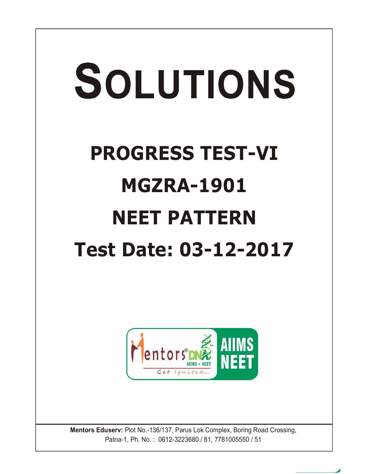

**Mentors Eduserv:** Plot No.-136/137, Parus Lok Complex, Boring Road Crossing, Patna-1, Ph. No. : 0612-3223680 / 81, 7781005550 / 51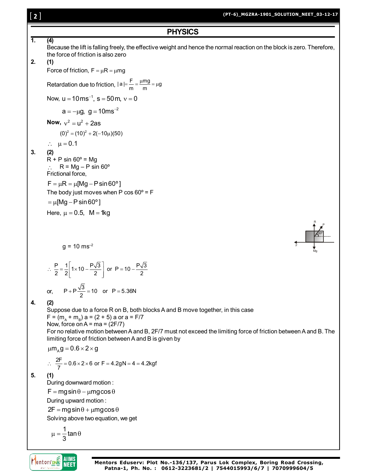# [ **2** ]

#### **(PT-6)\_MGZRA-1901\_SOLUTION\_NEET\_03-12-17**

**PHYSICS**  
\nBecause the lift is falling freely, the effective weight and hence the normal reaction on the block is zero. Therefore,  
\nthe force of friction, 
$$
F = \mu R = \mu mg
$$
  
\nFactoration due to friction,  $Ia = \frac{F}{m} = \frac{\mu mg}{m} = \mu g$   
\nNearrelation due to friction,  $Ia = \frac{F}{m} = \frac{\mu mg}{m} = \mu g$   
\nNow,  $u = 10 \text{ ms}^{-2}$ .  
\nNow,  $v^2 = u^2 + 2a\text{ s}$   
\n $(0)^2 = (10)^2 + 2(-10)\mu(50)$   
\n**3.** (2)  
\n $R + P$  sin 60° = Mg  
\n $\therefore R = Mg - P \sin 60°$   
\nFridional force,  
\n $F = \mu R = \mu mg - P \sin 60°$   
\nFriedional force,  
\n $F = \mu R = \mu mg - P \sin 60°$   
\n $= \mu [Mg - P \sin 60°]$   
\n $= \mu [Mg - P \sin 60°]$   
\nHere,  $\mu = 0.5$ ,  $M = 4kg$   
\n $g = 10 \text{ ms}^{-2}$   
\n $\therefore \frac{P}{2} = \frac{1}{2} [\frac{1}{1} \times 10 - \frac{P\sqrt{3}}{2}]$  or  $P = 10 - \frac{P\sqrt{3}}{2}$   
\nor,  $P + P \frac{\sqrt{3}}{2} = 10$  or  $P = 5.38N$   
\n**4.** (2)  
\nSuppose due to a force R on B, both blocks A and B move together, in this case  
\n $F = (m, + m, a) a = (2 + 5) a$  or  $a = F/7$   
\nNow, force on A = ma = (2F/7)  
\nFor no relative motion between A and B, 2F/T must not exceed the limiting force of friction between A and B. The  
\nlimiting force of friction between A and B is given by  
\n $\mu m_{R}g = 0.6 \times 2 \times g$   
\n $\therefore \frac{2F}{T} = 0.6 \times 2 \times 6$  or  $F = 4.2gN = 4 = 4.2kgf$   
\n**5.** (1

$$
\mu=\frac{1}{3}tan\theta
$$



**Mentors Eduserv: Plot No.-136/137, Parus Lok Complex, Boring Road Crossing, Patna-1, Ph. No. : 0612-3223681/2 | 7544015993/6/7 | 7070999604/5**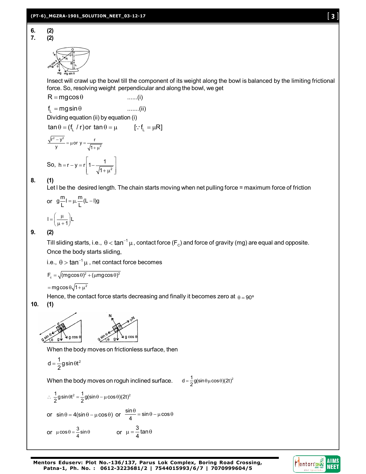$$
\begin{array}{c}\n\hline\n\uparrow \\
\hline\n\uparrow \\
\hline\n\uparrow \\
\hline\n\uparrow \\
\hline\n\uparrow \\
\hline\n\uparrow \\
\hline\n\uparrow \\
\hline\n\downarrow \\
\hline\n\downarrow \\
\hline\n\downarrow \\
\hline\n\downarrow \\
\hline\n\downarrow \\
\hline\n\downarrow \\
\hline\n\downarrow \\
\hline\n\downarrow \\
\hline\n\downarrow \\
\hline\n\downarrow \\
\hline\n\downarrow \\
\hline\n\downarrow \\
\hline\n\downarrow \\
\hline\n\downarrow \\
\hline\n\downarrow \\
\hline\n\downarrow \\
\hline\n\downarrow \\
\hline\n\downarrow \\
\hline\n\downarrow \\
\hline\n\downarrow \\
\hline\n\downarrow \\
\hline\n\downarrow \\
\hline\n\downarrow \\
\hline\n\downarrow \\
\hline\n\downarrow \\
\hline\n\downarrow \\
\hline\n\downarrow \\
\hline\n\downarrow \\
\hline\n\downarrow \\
\hline\n\downarrow \\
\hline\n\downarrow \\
\hline\n\downarrow \\
\hline\n\downarrow \\
\hline\n\downarrow \\
\hline\n\downarrow \\
\hline\n\downarrow \\
\hline\n\downarrow \\
\hline\n\downarrow \\
\hline\n\downarrow \\
\hline\n\downarrow \\
\hline\n\downarrow \\
\hline\n\downarrow \\
\hline\n\downarrow \\
\hline\n\downarrow \\
\hline\n\downarrow \\
\hline\n\downarrow \\
\hline\n\downarrow \\
\hline\n\downarrow \\
\hline\n\downarrow \\
\hline\n\downarrow \\
\hline\n\downarrow \\
\hline\n\downarrow \\
\hline\n\downarrow \\
\hline\n\downarrow \\
\hline\n\downarrow \\
\hline\n\downarrow \\
\hline\n\downarrow \\
\hline\n\downarrow \\
\hline\n\downarrow \\
\hline\n\downarrow \\
\hline\n\downarrow \\
\hline\n\downarrow \\
\hline\n\downarrow \\
\hline\n\downarrow \\
\hline\n\downarrow \\
\hline\n\downarrow \\
\hline\n\downarrow \\
\hline\n\downarrow \\
\hline\n\downarrow \\
\hline\n\downarrow \\
\hline\n\downarrow \\
\hline\n\downarrow \\
\hline\n\downarrow \\
\hline\n\downarrow \\
\hline\n\downarrow \\
\hline\n\downarrow \\
\hline\n\downarrow \\
\hline\n\downarrow \\
\hline\n\downarrow \\
\hline\n\downarrow \\
\hline\n\downarrow \\
\hline\n\downarrow \\
\hline\n\downarrow \\
\hline\n\downarrow \\
\hline\n\downarrow \\
\hline\n\downarrow \\
\hline\n\downarrow \\
$$

Insect will crawl up the bowl till the component of its weight along the bowl is balanced by the limiting frictional force. So, resolving weight perpendicular and along the bowl, we get

$$
R = mg\cos\theta
$$
 ......(i)  
\n
$$
f_L = mg\sin\theta
$$
 ......(ii)  
\nDividing equation (ii) by equation (i)

$$
tan \theta = (f_L / r) \text{ or } tan \theta = \mu \qquad [:: f_L = \mu R]
$$

$$
\frac{\sqrt{r^2 - y^2}}{y} = \mu \text{ or } y = \frac{r}{\sqrt{1 + \mu^2}}
$$
  
So,  $h = r - y = r \left[ 1 - \frac{1}{\sqrt{1 + \mu^2}} \right]$ 

## **8. (1)**

Let I be the desired length. The chain starts moving when net pulling force = maximum force of friction

or 
$$
g\frac{m}{L}I = \mu \cdot \frac{m}{L}(L - I)g
$$

$$
I = \left(\frac{\mu}{\mu + 1}\right) L
$$

## **9. (2)**

Till sliding starts, i.e.,  $\,\theta$   $<$  tan $^{-1}$   $\mu$  , contact force (F $_{\rm c}$ ) and force of gravity (mg) are equal and opposite. Once the body starts sliding,

i.e.,  $\, \theta >$  tan $^{-1} \, \mu$  , net contact force becomes

$$
F_c = \sqrt{(mg\cos\theta)^2 + (\mu mg\cos\theta)^2}
$$

 $=$  mgcos $\theta\sqrt{1+\mu^2}$ 

Hence, the contact force starts decreasing and finally it becomes zero at  $\theta = 90^{\circ}$ 

**10. (1)**



When the body moves on frictionless surface, then

$$
d=\frac{1}{2}g\,sin\theta t^2
$$

When the body moves on roguh inclined surface.  $d = \frac{1}{2}$ g(sin $\theta \mu \cos \theta$ )(2t)<sup>2</sup>

$$
\therefore \frac{1}{2}g\sin\theta t^2 = \frac{1}{2}g(\sin\theta - \mu\cos\theta)(2t)^2
$$
  
or  $\sin\theta = 4(\sin\theta - \mu\cos\theta)$  or  $\frac{\sin\theta}{4} = \sin\theta - \mu\cos\theta$   
or  $\mu\cos\theta = \frac{3}{4}\sin\theta$  or  $\mu = \frac{3}{4}\tan\theta$ 

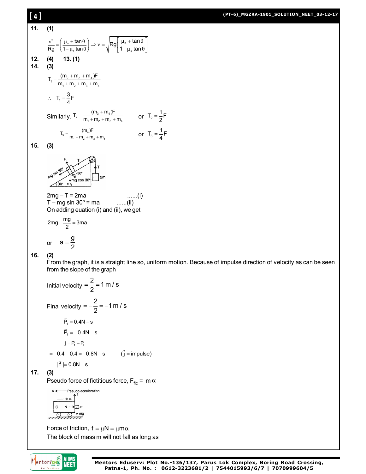#### **(PT-6)\_MGZRA-1901\_SOLUTION\_NEET\_03-12-17**

11. (1)  
\n
$$
\frac{v^2}{Rg} = \left(\frac{\mu_s + \tan \theta}{1 - \mu_s \tan \theta}\right) \Rightarrow v = \sqrt{Rg \left[\frac{\mu_s + \tan \theta}{1 - \mu_s \tan \theta}\right]}
$$
\n12. (4)  
\n13. (1)  
\n14. (3)  
\n
$$
T_1 = \frac{(m_1 + m_2 + m_3 + m_4)^F}{m_1 + m_2 + m_3 + m_4}
$$
\n
$$
\therefore T_1 = \frac{3}{4}F
$$
\nSimilarly,  $T_2 = \frac{(m_1 + m_2 + m_3 + m_4)}{m_1 + m_2 + m_3 + m_4}$  or  $T_2 = \frac{1}{4}F$   
\n15. (3)  
\n
$$
\int T_3 = \frac{(m_1 F}{m_1 + m_2 + m_3 + m_4})
$$
\n
$$
T_5 = \frac{(m_1 F}{m_1 + m_2 + m_3 + m_4})
$$
\n
$$
T = \frac{1}{m_1 + m_2 + m_3 + m_4}
$$
\n
$$
T = \frac{1}{m_1 + m_2 + m_3 + m_4}
$$
\n
$$
T = \frac{1}{m_1 + m_2 + m_3 + m_4}
$$
\n
$$
T = \frac{1}{m_1 + m_2 + m_3 + m_4}
$$
\n
$$
T = \frac{1}{m_1 + m_2 + m_3 + m_4}
$$
\n
$$
T = \frac{1}{m_1 + m_2 + m_3 + m_4}
$$
\n
$$
T = \frac{1}{m_1 + m_2 + m_3 + m_4}
$$
\n
$$
T = \frac{1}{m_1 + m_2 + m_3 + m_4}
$$
\n
$$
T_6 = \frac{1}{m_1 + m_2 + m_3 + m_4}
$$
\n
$$
T_7 = \frac{1}{m_1 + m_2 + m_3 + m_4}
$$
\n
$$
T_8 = \frac{1}{m_1 + m_2 + m_3 + m_4}
$$
\n
$$
T_9 = \frac{1}{m_1 + m_2 + m_3 + m_4}
$$
\n
$$
T_9 = \frac{1}{m_1 + m_2 + m_3 + m_4}
$$

 $= -0.4 - 0.4 = -0.8N - s$  ( $\vec{j}$  = impulse)

 $|\vec{f}| = 0.8N - s$ 

**17. (3)**

Pseudo force of fictitious force,  $F_{\text{fic}} = m \alpha$ 

Pseudo acceleration  $\alpha$  $\rightarrow \alpha$  $\mathtt{c}$  $N \Box$ m  $\overrightarrow{m}$ 

Force of friction,  $f = \mu N = \mu m \alpha$ The block of mass m will not fall as long as

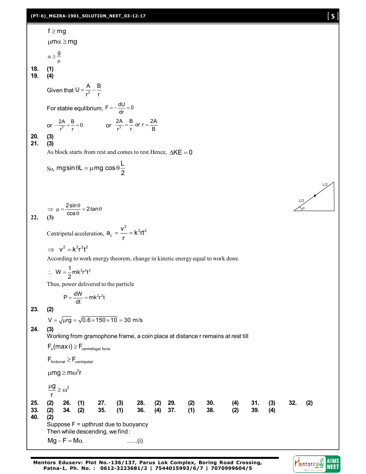# **(PT-6)\_MGZRA-1901\_SOLUTION\_NEET\_03-12-17** [ **5** ]

f ≥ mg  
\n
$$
\mu m \alpha \ge mg
$$
  
\n $\alpha \ge \frac{g}{\mu}$   
\n18. (4)  
\nGiven that  $U = \frac{A}{r^2} - \frac{B}{r}$   
\nFor stable equilibrium,  $F = -\frac{dU}{dr} = 0$   
\nor  $\frac{2A}{r^3} + \frac{B}{r} = 0$  or  $\frac{2A}{r^3} - \frac{B}{r}$  or  $r = \frac{2A}{B}$   
\n20. (3)  
\n21. (3)  
\n22. (3)  
\nAs block starts from rest and comes to rest Hence,  $\Delta KE = 0$   
\nSo,  $mg \sin \theta L = \mu mg \cos \theta \frac{L}{2}$   
\n $\Rightarrow \mu = \frac{2 \sin \theta}{\cos \theta} = 2 \tan \theta$   
\n22. (3)  
\nCentripetal acceleration,  $a_c = \frac{v^2}{r} = k^2rt^2$   
\n $\Rightarrow v^2 = k^2r^2t^2$   
\nAccording to work energy theorem, change in kinetic energy equal to work done.  
\n $\therefore W = \frac{1}{2}mk^2r^2t^2$   
\nThus, power delivered to the particle  
\n $P = \frac{dW}{dt} = mk^2r^2t$   
\n23. (2)  
\n24. (3)  
\n25. (4)  
\n26. (5)  
\n $\sqrt{1.105} = \sqrt{0.6 \times 150 \times 10} = 30$  m/s  
\n24. (3)  
\n $\frac{V}{V} = \sqrt{\frac{1.105}{4}} = \frac{\sqrt{0.6 \times 150 \times 10}}{8} = 30$  m/s  
\n25. (4)  
\n $F_{\text{fid} / 2} \ge \frac{2}{\sqrt{\frac{1.105}{4}}} = \frac{\sqrt{0.6 \times 150 \times 10}}{8} = 30$  m/s  
\n26. (5)  
\n $F_{\text{fid} / 2} \ge \frac{2}{\sqrt{\frac{1.105}{4}}} = \frac{\sqrt{0.6 \times 150 \times 10}}{8} = 30$  m/s  
\n28. (6)  
\n $F_{\text{fid} / 2} \ge \frac$ 

**Mentors Eduserv: Plot No.-136/137, Parus Lok Complex, Boring Road Crossing, Patna-1, Ph. No. : 0612-3223681/2 | 7544015993/6/7 | 7070999604/5**



 $L/2$ 

 $L/2$  $\gamma_{\theta}$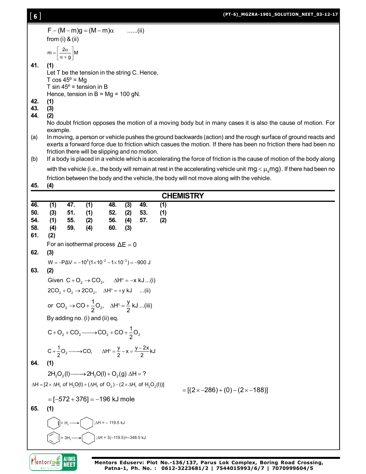| 【6】        |            |                                                |                                                                                                                                                                |            |            |               |            | (PT-6)_MGZRA-1901_SOLUTION_NEET_03-12-1)                                                                                                                                                                                          |
|------------|------------|------------------------------------------------|----------------------------------------------------------------------------------------------------------------------------------------------------------------|------------|------------|---------------|------------|-----------------------------------------------------------------------------------------------------------------------------------------------------------------------------------------------------------------------------------|
|            |            |                                                | $F - (M - m)g = (M - m)\alpha$                                                                                                                                 |            |            | $\ldots$ (ii) |            |                                                                                                                                                                                                                                   |
|            |            | from $(i)$ & $(ii)$                            |                                                                                                                                                                |            |            |               |            |                                                                                                                                                                                                                                   |
|            |            | $m = \left[\frac{2\alpha}{\alpha + g}\right]M$ |                                                                                                                                                                |            |            |               |            |                                                                                                                                                                                                                                   |
| 41.        | (1)        |                                                | Let T be the tension in the string C. Hence,                                                                                                                   |            |            |               |            |                                                                                                                                                                                                                                   |
|            |            | T $cos 45^\circ$ = Mg                          |                                                                                                                                                                |            |            |               |            |                                                                                                                                                                                                                                   |
|            |            |                                                | T sin $45^\circ$ = tension in B<br>Hence, tension in $B = Mg = 100 gN$ .                                                                                       |            |            |               |            |                                                                                                                                                                                                                                   |
| 42.        | (1)        |                                                |                                                                                                                                                                |            |            |               |            |                                                                                                                                                                                                                                   |
| 43.<br>44. | (3)<br>(2) |                                                |                                                                                                                                                                |            |            |               |            |                                                                                                                                                                                                                                   |
|            | example.   |                                                |                                                                                                                                                                |            |            |               |            | No doubt friction opposes the motion of a moving body but in many cases it is also the cause of motion. For                                                                                                                       |
| (a)        |            |                                                |                                                                                                                                                                |            |            |               |            | In moving, a person or vehicle pushes the ground backwards (action) and the rough surface of ground reacts and<br>exerts a forward force due to friction which casues the motion. If there has been no friction there had been no |
| (b)        |            |                                                | friction there will be slipping and no motion.                                                                                                                 |            |            |               |            | If a body is placed in a vehicle which is accelerating the force of friction is the cause of motion of the body along                                                                                                             |
|            |            |                                                |                                                                                                                                                                |            |            |               |            | with the vehicle (i.e., the body will remain at rest in the accelerating vehicle unit $mg < \mu_s mg$ ). If there had been no                                                                                                     |
|            |            |                                                |                                                                                                                                                                |            |            |               |            | friction between the body and the vehicle, the body will not move along with the vehicle.                                                                                                                                         |
| 45.        | (4)        |                                                |                                                                                                                                                                |            |            |               |            |                                                                                                                                                                                                                                   |
|            |            |                                                |                                                                                                                                                                |            |            |               |            | <b>CHEMISTRY</b>                                                                                                                                                                                                                  |
| 46.<br>50. | (1)<br>(3) | 47.<br>51.                                     | (1)<br>(1)                                                                                                                                                     | 48.<br>52. | (3)<br>(2) | 49.<br>53.    | (1)<br>(1) |                                                                                                                                                                                                                                   |
| 54.        | (1)        | 55.                                            | (2)                                                                                                                                                            | 56.        | (4)        | 57.           | (2)        |                                                                                                                                                                                                                                   |
| 58.<br>61. | (4)<br>(2) | 59.                                            | (4)                                                                                                                                                            | 60.        | (3)        |               |            |                                                                                                                                                                                                                                   |
|            |            |                                                | For an isothermal process $\Delta E = 0$                                                                                                                       |            |            |               |            |                                                                                                                                                                                                                                   |
| 62.        | (3)        |                                                | $W = -P\Delta V = -10^5(1 \times 10^{-2} - 1 \times 10^{-3}) = -900$ J                                                                                         |            |            |               |            |                                                                                                                                                                                                                                   |
| 63.        | (2)        |                                                |                                                                                                                                                                |            |            |               |            |                                                                                                                                                                                                                                   |
|            |            |                                                | Given $C + O_2 \rightarrow CO_2$ , $\Delta H^{\circ} = -x kJ$ (i)                                                                                              |            |            |               |            |                                                                                                                                                                                                                                   |
|            |            |                                                | $2CO_2 + O_2 \rightarrow 2CO_2$ , $\Delta H^{\circ} = +y kJ$ (ii)                                                                                              |            |            |               |            |                                                                                                                                                                                                                                   |
|            |            |                                                | or $CO_2 \rightarrow CO + \frac{1}{2}O_2$ , $\Delta H^{\circ} = \frac{y}{2} kJ$ (iii)                                                                          |            |            |               |            |                                                                                                                                                                                                                                   |
|            |            |                                                | By adding no. (i) and (ii) eq.                                                                                                                                 |            |            |               |            |                                                                                                                                                                                                                                   |
|            |            |                                                | $C+O_2+CO_2 \longrightarrow CO_2+CO+\frac{1}{2}O_2$                                                                                                            |            |            |               |            |                                                                                                                                                                                                                                   |
|            |            |                                                | $C + \frac{1}{2}O_2 \longrightarrow CO$ , $\Delta H^{\circ} = \frac{y}{2} - x = \frac{y - 2x}{2} kJ$                                                           |            |            |               |            |                                                                                                                                                                                                                                   |
| 64.        | (1)        |                                                |                                                                                                                                                                |            |            |               |            |                                                                                                                                                                                                                                   |
|            |            |                                                | $2H_2O_2(I) \longrightarrow 2H_2O(I) + O_2(g) \Delta H = ?$                                                                                                    |            |            |               |            |                                                                                                                                                                                                                                   |
|            |            |                                                | $\Delta H = [2 \times \Delta H_f$ of H <sub>2</sub> O(I) + ( $\Delta H_f$ of O <sub>2</sub> ) – ( $2 \times \Delta H_f$ of H <sub>2</sub> O <sub>2</sub> (I))] |            |            |               |            | $=[(2 \times -286)+(0)-(2 \times -188)]$                                                                                                                                                                                          |
|            |            |                                                | $= [-572 + 376] = -196$ kJ mole                                                                                                                                |            |            |               |            |                                                                                                                                                                                                                                   |
| 65.        | (1)        |                                                |                                                                                                                                                                |            |            |               |            |                                                                                                                                                                                                                                   |
|            |            |                                                |                                                                                                                                                                |            |            |               |            |                                                                                                                                                                                                                                   |



+ $H<sub>2</sub>$ 

 $3H$ 

; $\Delta H = 3(-119.5) = -348.5$  kJ

**Mentors Eduserv: Plot No.-136/137, Parus Lok Complex, Boring Road Crossing, Patna-1, Ph. No. : 0612-3223681/2 | 7544015993/6/7 | 7070999604/5**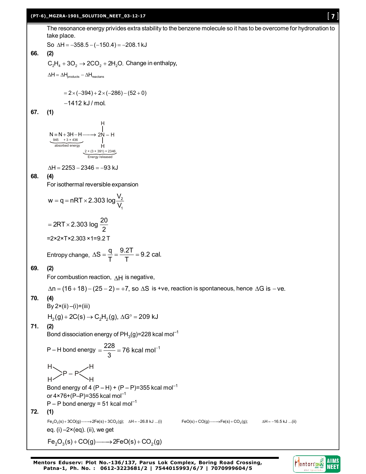**(PT-6)\_MGZRA-1901\_SOLUTION\_NEET\_03-12-17** [ **7** ] The resonance energy privides extra stability to the benzene molecule so it has to be overcome for hydronation to take place. So  $\Delta H = -358.5 - (-150.4) = -208.1 \text{ kJ}$ **66. (2)**  $C_2H_4 + 3O_2 \rightarrow 2CO_2 + 2H_2O$ . Change in enthalpy,  $\Delta H = \Delta H_{\text{products}} - \Delta H_{\text{reactans}}$  $= 2 \times (-394) + 2 \times (-286) - (52 + 0)$  $-1412$  kJ/mol. **67. (1)**  $N = N + 3H - H -$ H H  $945 + 3 \times 436$ absorbed energy  $2 \times (3 \times 391) = 2346$ Energy released  $\Delta H = 2253 - 2346 = -93$  kJ **68. (4)** For isothermal reversible expansion w = q = nRT  $\times$  2.303 log  $\frac{V_2}{V_1}$ 1 V  $=$  q = nRT  $\times$  2  $2RT \times 2.303 \log \frac{20}{2}$ 2  $=2RT\times 2$ =2×2×T×2.303 ×1=9.2 T Entropy change,  $\Delta S = \frac{q}{T} = \frac{9.2T}{T} = 9.2$  cal. T T  $\Delta S = \frac{q}{T} = \frac{Q \cdot E}{T} = \frac{Q}{T}$ **69. (2)** For combustion reaction,  $AH$  is negative,  $\Delta n = (16 + 18) - (25 - 2) = +7$ , so  $\Delta S$  is +ve, reaction is spontaneous, hence  $\Delta G$  is -ve. **70. (4)** By  $2 \times (ii) - (i) + (iii)$  $H<sub>2</sub>(g) + 2C(s) \rightarrow C<sub>2</sub>H<sub>2</sub>(g), \Delta G<sup>o</sup> = 209 kJ$ **71. (2)** Bond dissociation energy of PH $_3$ (g)=228 kcal mol $^{-1}$ P – H bond energy  $=$   $\frac{228}{2}$  = 76 kcal mol<sup>-1</sup> 3  $=\frac{220}{2}=76$  kcal mol<sup>-1</sup>

P – P H H H H Bond energy of 4  $(P - H) + (P - P) = 355$  kcal mol<sup>-1</sup> or  $4 \times 76 + (P-P) = 355$  kcal mol<sup>-1</sup>  $P - P$  bond energy = 51 kcal mol<sup>-1</sup> **72. (1)**  $Fe_2O_3(s) + 3CO(g) \longrightarrow 2Fe(s) + 3CO_2(g);$   $\Delta H = -26.8 \text{ kJ} \dots(i)$   $FeO(s) + CO(g) \longrightarrow Fe(s) + CO_2(g);$   $\Delta H = -16.5 \text{ kJ} \dots(i)$  $FeO(s) + CO(g) \longrightarrow Fe(s) + CO<sub>2</sub>(g);$ eq.  $(i)$  –2 $\times$ (eq). (ii), we get

 $Fe<sub>2</sub>O<sub>3</sub>(s) + CO(g) \longrightarrow 2FeO(s) + CO<sub>2</sub>(g)$ 

**Mentors Eduserv: Plot No.-136/137, Parus Lok Complex, Boring Road Crossing, Patna-1, Ph. No. : 0612-3223681/2 | 7544015993/6/7 | 7070999604/5**

**AIIMS**<br>NEET

Mentorsone